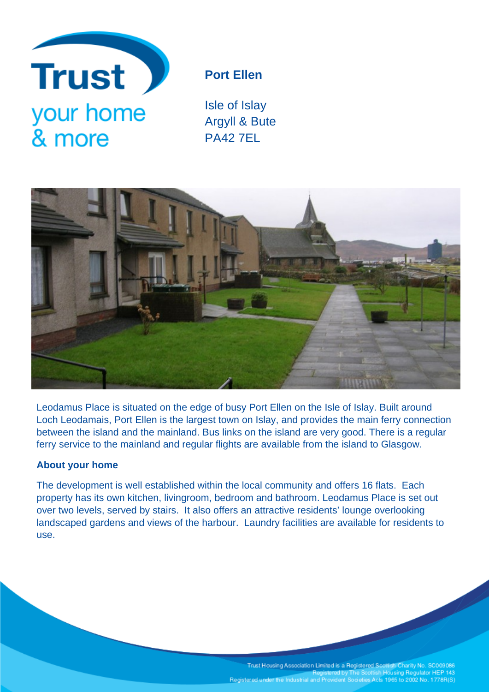

# **Port Ellen**

Isle of Islay Argyll & Bute PA42 7EL



Leodamus Place is situated on the edge of busy Port Ellen on the Isle of Islay. Built around Loch Leodamais, Port Ellen is the largest town on Islay, and provides the main ferry connection between the island and the mainland. Bus links on the island are very good. There is a regular ferry service to the mainland and regular flights are available from the island to Glasgow.

## **About your home**

The development is well established within the local community and offers 16 flats. Each property has its own kitchen, livingroom, bedroom and bathroom. Leodamus Place is set out over two levels, served by stairs. It also offers an attractive residents' lounge overlooking landscaped gardens and views of the harbour. Laundry facilities are available for residents to use.

> Trust Housing Association Limited is a Registered Scottish Charity No. SC009086<br>Registered by The Scottish Housing Regulator HEP 143 Registered under the Industrial and Provident Societies Acts 1965 to 2002 No. 1778R(S)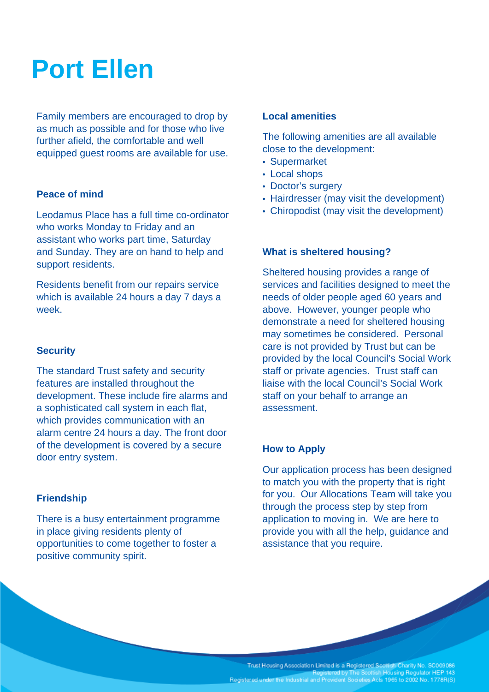# **Port Ellen**

Family members are encouraged to drop by as much as possible and for those who live further afield, the comfortable and well equipped guest rooms are available for use.

### **Peace of mind**

Leodamus Place has a full time co-ordinator who works Monday to Friday and an assistant who works part time, Saturday and Sunday. They are on hand to help and support residents.

Residents benefit from our repairs service which is available 24 hours a day 7 days a week.

#### **Security**

The standard Trust safety and security features are installed throughout the development. These include fire alarms and a sophisticated call system in each flat, which provides communication with an alarm centre 24 hours a day. The front door of the development is covered by a secure door entry system.

#### **Friendship**

There is a busy entertainment programme in place giving residents plenty of opportunities to come together to foster a positive community spirit.

#### **Local amenities**

The following amenities are all available close to the development:

- Supermarket
- Local shops
- Doctor's surgery
- Hairdresser (may visit the development)
- Chiropodist (may visit the development)

### **What is sheltered housing?**

Sheltered housing provides a range of services and facilities designed to meet the needs of older people aged 60 years and above. However, younger people who demonstrate a need for sheltered housing may sometimes be considered. Personal care is not provided by Trust but can be provided by the local Council's Social Work staff or private agencies. Trust staff can liaise with the local Council's Social Work staff on your behalf to arrange an assessment.

#### **How to Apply**

Our application process has been designed to match you with the property that is right for you. Our Allocations Team will take you through the process step by step from application to moving in. We are here to provide you with all the help, guidance and assistance that you require.

Trust Housing Association Limited is a Registered Scottish Charity No. SC009086<br>Registered by The Scottish Housing Regulator HEP 143 Registered under the Industrial and Provident Societies Acts 1965 to 2002 No. 1778R(S)